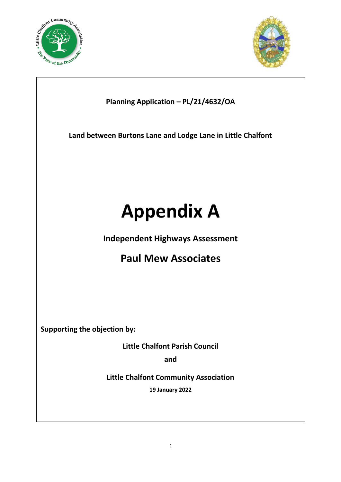



Ī

# **Planning Application – PL/21/4632/OA Land between Burtons Lane and Lodge Lane in Little Chalfont Appendix A Independent Highways Assessment Paul Mew Associates Supporting the objection by: Little Chalfont Parish Council and Little Chalfont Community Association 19 January 2022**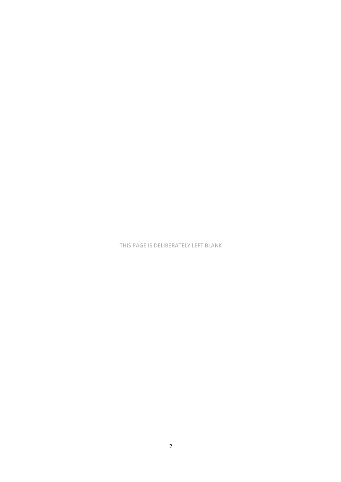THIS PAGE IS DELIBERATELY LEFT BLANK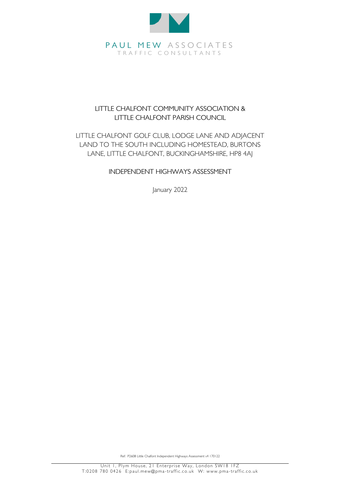

# LITTLE CHALFONT COMMUNITY ASSOCIATION & LITTLE CHALFONT PARISH COUNCIL

# LITTLE CHALFONT GOLF CLUB, LODGE LANE AND ADJACENT LAND TO THE SOUTH INCLUDING HOMESTEAD, BURTONS LANE, LITTLE CHALFONT, BUCKINGHAMSHIRE, HP8 4AJ

# INDEPENDENT HIGHWAYS ASSESSMENT

January 2022

Ref: P2608 Little Chalfont Independent Highways Assessment v4 170122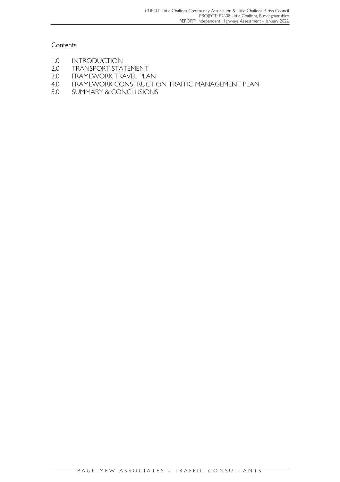#### **Contents**

- 1.0 INTRODUCTION<br>2.0 TRANSPORT STA
- 2.0 TRANSPORT STATEMENT<br>3.0 FRAMEWORK TRAVEL PLA
- FRAMEWORK TRAVEL PLAN
- 4.0 FRAMEWORK CONSTRUCTION TRAFFIC MANAGEMENT PLAN<br>5.0 SUMMARY & CONCLUSIONS
- 5.0 SUMMARY & CONCLUSIONS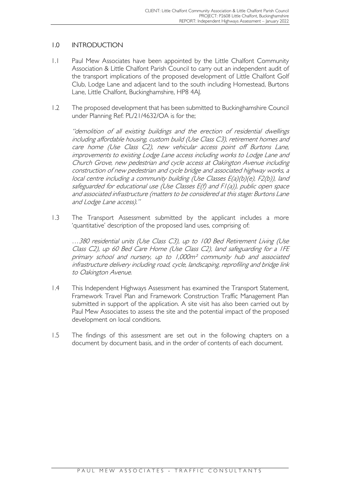# 1.0 INTRODUCTION

- 1.1 Paul Mew Associates have been appointed by the Little Chalfont Community Association & Little Chalfont Parish Council to carry out an independent audit of the transport implications of the proposed development of Little Chalfont Golf Club, Lodge Lane and adjacent land to the south including Homestead, Burtons Lane, Little Chalfont, Buckinghamshire, HP8 4AJ.
- 1.2 The proposed development that has been submitted to Buckinghamshire Council under Planning Ref: PL/21/4632/OA is for the;

"demolition of all existing buildings and the erection of residential dwellings including affordable housing, custom build (Use Class C3), retirement homes and care home (Use Class C2), new vehicular access point off Burtons Lane, improvements to existing Lodge Lane access including works to Lodge Lane and Church Grove, new pedestrian and cycle access at Oakington Avenue including construction of new pedestrian and cycle bridge and associated highway works, a local centre including a community building (Use Classes E(a)(b)(e), F2(b)), land safeguarded for educational use (Use Classes E(f) and FI(a)), public open space and associated infrastructure (matters to be considered at this stage: Burtons Lane and Lodge Lane access)."

1.3 The Transport Assessment submitted by the applicant includes a more 'quantitative' description of the proposed land uses, comprising of:

 …380 residential units (Use Class C3), up to 100 Bed Retirement Living (Use Class C2), up 60 Bed Care Home (Use Class C2), land safeguarding for a 1FE primary school and nursery, up to 1,000m² community hub and associated infrastructure delivery including road, cycle, landscaping, reprofiling and bridge link to Oakington Avenue.

- 1.4 This Independent Highways Assessment has examined the Transport Statement, Framework Travel Plan and Framework Construction Traffic Management Plan submitted in support of the application. A site visit has also been carried out by Paul Mew Associates to assess the site and the potential impact of the proposed development on local conditions.
- 1.5 The findings of this assessment are set out in the following chapters on a document by document basis, and in the order of contents of each document.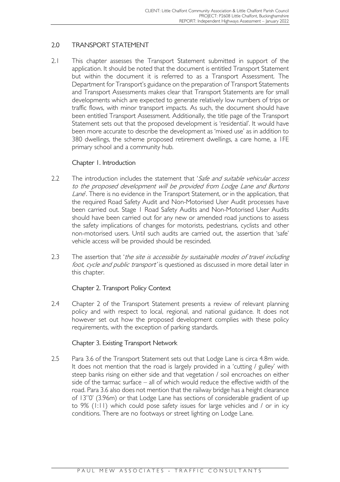# 2.0 TRANSPORT STATEMENT

2.1 This chapter assesses the Transport Statement submitted in support of the application. It should be noted that the document is entitled Transport Statement but within the document it is referred to as a Transport Assessment. The Department for Transport's guidance on the preparation of Transport Statements and Transport Assessments makes clear that Transport Statements are for small developments which are expected to generate relatively low numbers of trips or traffic flows, with minor transport impacts. As such, the document should have been entitled Transport Assessment. Additionally, the title page of the Transport Statement sets out that the proposed development is 'residential'. It would have been more accurate to describe the development as 'mixed use' as in addition to 380 dwellings, the scheme proposed retirement dwellings, a care home, a 1FE primary school and a community hub.

# Chapter 1. Introduction

- 2.2 The introduction includes the statement that 'Safe and suitable vehicular access to the proposed development will be provided from Lodge Lane and Burtons Lane'. There is no evidence in the Transport Statement, or in the application, that the required Road Safety Audit and Non-Motorised User Audit processes have been carried out. Stage 1 Road Safety Audits and Non-Motorised User Audits should have been carried out for any new or amended road junctions to assess the safety implications of changes for motorists, pedestrians, cyclists and other non-motorised users. Until such audits are carried out, the assertion that 'safe' vehicle access will be provided should be rescinded.
- 2.3 The assertion that 'the site is accessible by sustainable modes of travel including foot, cycle and public transport' is questioned as discussed in more detail later in this chapter.

# Chapter 2. Transport Policy Context

2.4 Chapter 2 of the Transport Statement presents a review of relevant planning policy and with respect to local, regional, and national guidance. It does not however set out how the proposed development complies with these policy requirements, with the exception of parking standards.

# Chapter 3. Existing Transport Network

2.5 Para 3.6 of the Transport Statement sets out that Lodge Lane is circa 4.8m wide. It does not mention that the road is largely provided in a 'cutting / gulley' with steep banks rising on either side and that vegetation / soil encroaches on either side of the tarmac surface – all of which would reduce the effective width of the road. Para 3.6 also does not mention that the railway bridge has a height clearance of 13"0' (3.96m) or that Lodge Lane has sections of considerable gradient of up to 9% (1:11) which could pose safety issues for large vehicles and / or in icy conditions. There are no footways or street lighting on Lodge Lane.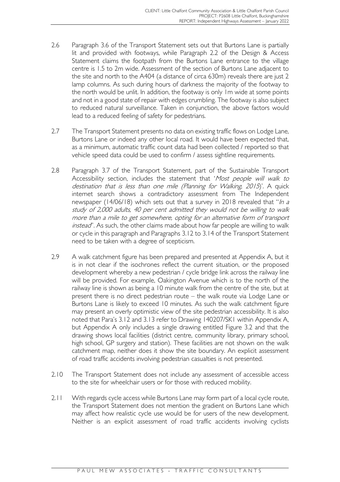- 2.6 Paragraph 3.6 of the Transport Statement sets out that Burtons Lane is partially lit and provided with footways, while Paragraph 2.2 of the Design & Access Statement claims the footpath from the Burtons Lane entrance to the village centre is 1.5 to 2m wide. Assessment of the section of Burtons Lane adjacent to the site and north to the A404 (a distance of circa 630m) reveals there are just 2 lamp columns. As such during hours of darkness the majority of the footway to the north would be unlit. In addition, the footway is only 1m wide at some points and not in a good state of repair with edges crumbling. The footway is also subject to reduced natural surveillance. Taken in conjunction, the above factors would lead to a reduced feeling of safety for pedestrians.
- 2.7 The Transport Statement presents no data on existing traffic flows on Lodge Lane, Burtons Lane or indeed any other local road. It would have been expected that, as a minimum, automatic traffic count data had been collected / reported so that vehicle speed data could be used to confirm / assess sightline requirements.
- 2.8 Paragraph 3.7 of the Transport Statement, part of the Sustainable Transport Accessibility section, includes the statement that 'Most people will walk to destination that is less than one mile (Planning for Walking, 2015)'. A quick internet search shows a contradictory assessment from The Independent newspaper (14/06/18) which sets out that a survey in 2018 revealed that " $ln a$ study of 2,000 adults, 40 per cent admitted they would not be willing to walk more than a mile to get somewhere, opting for an alternative form of transport instead'. As such, the other claims made about how far people are willing to walk or cycle in this paragraph and Paragraphs 3.12 to 3.14 of the Transport Statement need to be taken with a degree of scepticism.
- 2.9 A walk catchment figure has been prepared and presented at Appendix A, but it is in not clear if the isochrones reflect the current situation, or the proposed development whereby a new pedestrian / cycle bridge link across the railway line will be provided. For example, Oakington Avenue which is to the north of the railway line is shown as being a 10 minute walk from the centre of the site, but at present there is no direct pedestrian route – the walk route via Lodge Lane or Burtons Lane is likely to exceed 10 minutes. As such the walk catchment figure may present an overly optimistic view of the site pedestrian accessibility. It is also noted that Para's 3.12 and 3.13 refer to Drawing 140207/SK1 within Appendix A, but Appendix A only includes a single drawing entitled Figure 3.2 and that the drawing shows local facilities (district centre, community library, primary school, high school, GP surgery and station). These facilities are not shown on the walk catchment map, neither does it show the site boundary. An explicit assessment of road traffic accidents involving pedestrian casualties is not presented.
- 2.10 The Transport Statement does not include any assessment of accessible access to the site for wheelchair users or for those with reduced mobility.
- 2.11 With regards cycle access while Burtons Lane may form part of a local cycle route, the Transport Statement does not mention the gradient on Burtons Lane which may affect how realistic cycle use would be for users of the new development. Neither is an explicit assessment of road traffic accidents involving cyclists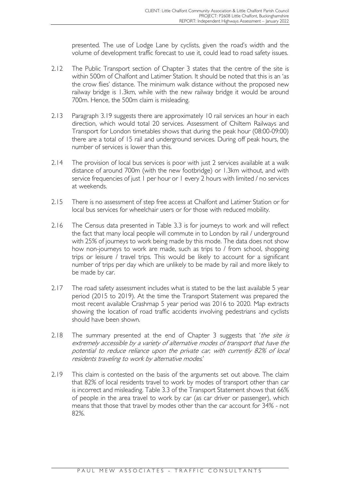presented. The use of Lodge Lane by cyclists, given the road's width and the volume of development traffic forecast to use it, could lead to road safety issues.

- 2.12 The Public Transport section of Chapter 3 states that the centre of the site is within 500m of Chalfont and Latimer Station. It should be noted that this is an 'as the crow flies' distance. The minimum walk distance without the proposed new railway bridge is 1.3km, while with the new railway bridge it would be around 700m. Hence, the 500m claim is misleading.
- 2.13 Paragraph 3.19 suggests there are approximately 10 rail services an hour in each direction, which would total 20 services. Assessment of Chiltern Railways and Transport for London timetables shows that during the peak hour (08:00-09:00) there are a total of 15 rail and underground services. During off peak hours, the number of services is lower than this.
- 2.14 The provision of local bus services is poor with just 2 services available at a walk distance of around 700m (with the new footbridge) or 1.3km without, and with service frequencies of just 1 per hour or 1 every 2 hours with limited / no services at weekends.
- 2.15 There is no assessment of step free access at Chalfont and Latimer Station or for local bus services for wheelchair users or for those with reduced mobility.
- 2.16 The Census data presented in Table 3.3 is for journeys to work and will reflect the fact that many local people will commute in to London by rail / underground with 25% of journeys to work being made by this mode. The data does not show how non-journeys to work are made, such as trips to / from school, shopping trips or leisure / travel trips. This would be likely to account for a significant number of trips per day which are unlikely to be made by rail and more likely to be made by car.
- 2.17 The road safety assessment includes what is stated to be the last available 5 year period (2015 to 2019). At the time the Transport Statement was prepared the most recent available Crashmap 5 year period was 2016 to 2020. Map extracts showing the location of road traffic accidents involving pedestrians and cyclists should have been shown.
- 2.18 The summary presented at the end of Chapter 3 suggests that 'the site is extremely accessible by a variety of alternative modes of transport that have the potential to reduce reliance upon the private car, with currently 82% of local residents traveling to work by alternative modes.'
- 2.19 This claim is contested on the basis of the arguments set out above. The claim that 82% of local residents travel to work by modes of transport other than car is incorrect and misleading. Table 3.3 of the Transport Statement shows that 66% of people in the area travel to work by car (as car driver or passenger), which means that those that travel by modes other than the car account for 34% - not 82%.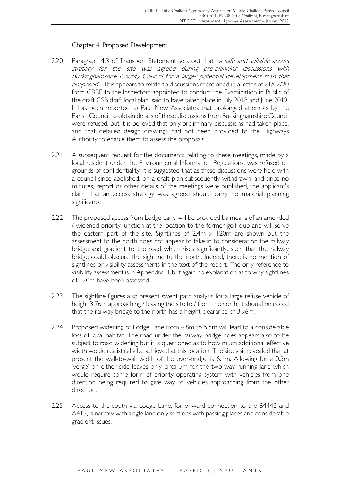# Chapter 4. Proposed Development

- 2.20 Paragraph 4.3 of Transport Statement sets out that "a safe and suitable access strategy for the site was agreed during pre-planning discussions with Buckinghamshire County Council for a larger potential development than that proposed". This appears to relate to discussions mentioned in a letter of 21/02/20 from CBRE to the Inspectors appointed to conduct the Examination in Public of the draft CSB draft local plan, said to have taken place in July 2018 and June 2019. It has been reported to Paul Mew Associates that prolonged attempts by the Parish Council to obtain details of these discussions from Buckinghamshire Council were refused, but it is believed that only preliminary discussions had taken place, and that detailed design drawings had not been provided to the Highways Authority to enable them to assess the proposals.
- 2.21 A subsequent request for the documents relating to these meetings, made by a local resident under the Environmental Information Regulations, was refused on grounds of confidentiality. It is suggested that as these discussions were held with a council since abolished, on a draft plan subsequently withdrawn, and since no minutes, report or other details of the meetings were published, the applicant's claim that an access strategy was agreed should carry no material planning significance.
- 2.22 The proposed access from Lodge Lane will be provided by means of an amended / widened priority junction at the location to the former golf club and will serve the eastern part of the site. Sightlines of 2.4m  $\times$  120m are shown but the assessment to the north does not appear to take in to consideration the railway bridge and gradient to the road which rises significantly, such that the railway bridge could obscure the sightline to the north. Indeed, there is no mention of sightlines or visibility assessments in the text of the report. The only reference to visibility assessment is in Appendix H, but again no explanation as to why sightlines of 120m have been assessed.
- 2.23 The sightline figures also present swept path analysis for a large refuse vehicle of height 3.76m approaching / leaving the site to / from the north. It should be noted that the railway bridge to the north has a height clearance of 3.96m.
- 2.24 Proposed widening of Lodge Lane from 4.8m to 5.5m will lead to a considerable loss of local habitat. The road under the railway bridge does appears also to be subject to road widening but it is questioned as to how much additional effective width would realistically be achieved at this location. The site visit revealed that at present the wall-to-wall width of the over-bridge is 6.1m. Allowing for a 0.5m 'verge' on either side leaves only circa 5m for the two-way running lane which would require some form of priority operating system with vehicles from one direction being required to give way to vehicles approaching from the other direction.
- 2.25 Access to the south via Lodge Lane, for onward connection to the B4442 and A413, is narrow with single lane only sections with passing places and considerable gradient issues.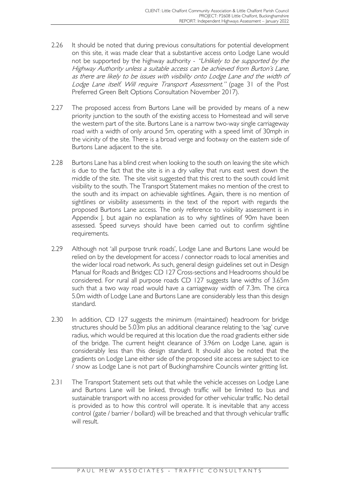- 2.26 It should be noted that during previous consultations for potential development on this site, it was made clear that a substantive access onto Lodge Lane would not be supported by the highway authority - "Unlikely to be supported by the Highway Authority unless a suitable access can be achieved from Burton's Lane, as there are likely to be issues with visibility onto Lodge Lane and the width of Lodge Lane itself. Will require Transport Assessment." (page 31 of the Post Preferred Green Belt Options Consultation November 2017).
- 2.27 The proposed access from Burtons Lane will be provided by means of a new priority junction to the south of the existing access to Homestead and will serve the western part of the site. Burtons Lane is a narrow two-way single carriageway road with a width of only around 5m, operating with a speed limit of 30mph in the vicinity of the site. There is a broad verge and footway on the eastern side of Burtons Lane adjacent to the site.
- 2.28 Burtons Lane has a blind crest when looking to the south on leaving the site which is due to the fact that the site is in a dry valley that runs east west down the middle of the site. The site visit suggested that this crest to the south could limit visibility to the south. The Transport Statement makes no mention of the crest to the south and its impact on achievable sightlines. Again, there is no mention of sightlines or visibility assessments in the text of the report with regards the proposed Burtons Lane access. The only reference to visibility assessment is in Appendix J, but again no explanation as to why sightlines of 90m have been assessed. Speed surveys should have been carried out to confirm sightline requirements.
- 2.29 Although not 'all purpose trunk roads', Lodge Lane and Burtons Lane would be relied on by the development for access / connector roads to local amenities and the wider local road network. As such, general design guidelines set out in Design Manual for Roads and Bridges: CD 127 Cross-sections and Headrooms should be considered. For rural all purpose roads CD 127 suggests lane widths of 3.65m such that a two way road would have a carriageway width of 7.3m. The circa 5.0m width of Lodge Lane and Burtons Lane are considerably less than this design standard.
- 2.30 In addition, CD 127 suggests the minimum (maintained) headroom for bridge structures should be 5.03m plus an additional clearance relating to the 'sag' curve radius, which would be required at this location due the road gradients either side of the bridge. The current height clearance of 3.96m on Lodge Lane, again is considerably less than this design standard. It should also be noted that the gradients on Lodge Lane either side of the proposed site access are subject to ice / snow as Lodge Lane is not part of Buckinghamshire Councils winter gritting list.
- 2.31 The Transport Statement sets out that while the vehicle accesses on Lodge Lane and Burtons Lane will be linked, through traffic will be limited to bus and sustainable transport with no access provided for other vehicular traffic. No detail is provided as to how this control will operate. It is inevitable that any access control (gate / barrier / bollard) will be breached and that through vehicular traffic will result.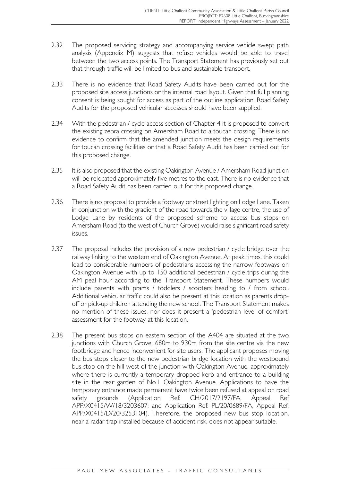- 2.32 The proposed servicing strategy and accompanying service vehicle swept path analysis (Appendix M) suggests that refuse vehicles would be able to travel between the two access points. The Transport Statement has previously set out that through traffic will be limited to bus and sustainable transport.
- 2.33 There is no evidence that Road Safety Audits have been carried out for the proposed site access junctions or the internal road layout. Given that full planning consent is being sought for access as part of the outline application, Road Safety Audits for the proposed vehicular accesses should have been supplied.
- 2.34 With the pedestrian / cycle access section of Chapter 4 it is proposed to convert the existing zebra crossing on Amersham Road to a toucan crossing. There is no evidence to confirm that the amended junction meets the design requirements for toucan crossing facilities or that a Road Safety Audit has been carried out for this proposed change.
- 2.35 It is also proposed that the existing Oakington Avenue / Amersham Road junction will be relocated approximately five metres to the east. There is no evidence that a Road Safety Audit has been carried out for this proposed change.
- 2.36 There is no proposal to provide a footway or street lighting on Lodge Lane. Taken in conjunction with the gradient of the road towards the village centre, the use of Lodge Lane by residents of the proposed scheme to access bus stops on Amersham Road (to the west of Church Grove) would raise significant road safety issues.
- 2.37 The proposal includes the provision of a new pedestrian / cycle bridge over the railway linking to the western end of Oakington Avenue. At peak times, this could lead to considerable numbers of pedestrians accessing the narrow footways on Oakington Avenue with up to 150 additional pedestrian / cycle trips during the AM peal hour according to the Transport Statement. These numbers would include parents with prams / toddlers / scooters heading to / from school. Additional vehicular traffic could also be present at this location as parents dropoff or pick-up children attending the new school. The Transport Statement makes no mention of these issues, nor does it present a 'pedestrian level of comfort' assessment for the footway at this location.
- 2.38 The present bus stops on eastern section of the A404 are situated at the two junctions with Church Grove; 680m to 930m from the site centre via the new footbridge and hence inconvenient for site users. The applicant proposes moving the bus stops closer to the new pedestrian bridge location with the westbound bus stop on the hill west of the junction with Oakington Avenue, approximately where there is currently a temporary dropped kerb and entrance to a building site in the rear garden of No.1 Oakington Avenue. Applications to have the temporary entrance made permanent have twice been refused at appeal on road safety grounds (Application Ref: CH/2017/2197/FA, Appeal Ref APP/X0415/W/18/3203607; and Application Ref: PL/20/0689/FA, Appeal Ref: APP/X0415/D/20/3253104). Therefore, the proposed new bus stop location, near a radar trap installed because of accident risk, does not appear suitable.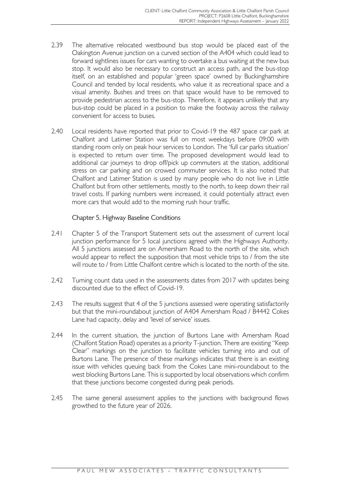- 2.39 The alternative relocated westbound bus stop would be placed east of the Oakington Avenue junction on a curved section of the A404 which could lead to forward sightlines issues for cars wanting to overtake a bus waiting at the new bus stop. It would also be necessary to construct an access path, and the bus-stop itself, on an established and popular 'green space' owned by Buckinghamshire Council and tended by local residents, who value it as recreational space and a visual amenity. Bushes and trees on that space would have to be removed to provide pedestrian access to the bus-stop. Therefore, it appears unlikely that any bus-stop could be placed in a position to make the footway across the railway convenient for access to buses.
- 2.40 Local residents have reported that prior to Covid-19 the 487 space car park at Chalfont and Latimer Station was full on most weekdays before 09:00 with standing room only on peak hour services to London. The 'full car parks situation' is expected to return over time. The proposed development would lead to additional car journeys to drop off/pick up commuters at the station, additional stress on car parking and on crowed commuter services. It is also noted that Chalfont and Latimer Station is used by many people who do not live in Little Chalfont but from other settlements, mostly to the north, to keep down their rail travel costs. If parking numbers were increased, it could potentially attract even more cars that would add to the morning rush hour traffic.

#### Chapter 5. Highway Baseline Conditions

- 2.41 Chapter 5 of the Transport Statement sets out the assessment of current local junction performance for 5 local junctions agreed with the Highways Authority. All 5 junctions assessed are on Amersham Road to the north of the site, which would appear to reflect the supposition that most vehicle trips to / from the site will route to / from Little Chalfont centre which is located to the north of the site.
- 2.42 Turning count data used in the assessments dates from 2017 with updates being discounted due to the effect of Covid-19.
- 2.43 The results suggest that 4 of the 5 junctions assessed were operating satisfactorily but that the mini-roundabout junction of A404 Amersham Road / B4442 Cokes Lane had capacity, delay and 'level of service' issues.
- 2.44 In the current situation, the junction of Burtons Lane with Amersham Road (Chalfont Station Road) operates as a priority T-junction. There are existing "Keep Clear" markings on the junction to facilitate vehicles turning into and out of Burtons Lane. The presence of these markings indicates that there is an existing issue with vehicles queuing back from the Cokes Lane mini-roundabout to the west blocking Burtons Lane. This is supported by local observations which confirm that these junctions become congested during peak periods.
- 2.45 The same general assessment applies to the junctions with background flows growthed to the future year of 2026.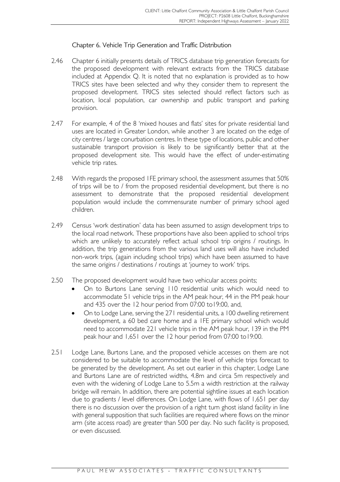#### Chapter 6. Vehicle Trip Generation and Traffic Distribution

- 2.46 Chapter 6 initially presents details of TRICS database trip generation forecasts for the proposed development with relevant extracts from the TRICS database included at Appendix Q. It is noted that no explanation is provided as to how TRICS sites have been selected and why they consider them to represent the proposed development. TRICS sites selected should reflect factors such as location, local population, car ownership and public transport and parking provision.
- 2.47 For example, 4 of the 8 'mixed houses and flats' sites for private residential land uses are located in Greater London, while another 3 are located on the edge of city centres / large conurbation centres. In these type of locations, public and other sustainable transport provision is likely to be significantly better that at the proposed development site. This would have the effect of under-estimating vehicle trip rates.
- 2.48 With regards the proposed 1FE primary school, the assessment assumes that 50% of trips will be to / from the proposed residential development, but there is no assessment to demonstrate that the proposed residential development population would include the commensurate number of primary school aged children.
- 2.49 Census 'work destination' data has been assumed to assign development trips to the local road network. These proportions have also been applied to school trips which are unlikely to accurately reflect actual school trip origins / routings. In addition, the trip generations from the various land uses will also have included non-work trips, (again including school trips) which have been assumed to have the same origins / destinations / routings at 'journey to work' trips.
- 2.50 The proposed development would have two vehicular access points;
	- On to Burtons Lane serving 110 residential units which would need to accommodate 51 vehicle trips in the AM peak hour, 44 in the PM peak hour and 435 over the 12 hour period from 07:00 to19:00, and,
	- On to Lodge Lane, serving the 271 residential units, a 100 dwelling retirement development, a 60 bed care home and a 1FE primary school which would need to accommodate 221 vehicle trips in the AM peak hour, 139 in the PM peak hour and 1,651 over the 12 hour period from 07:00 to19:00.
- 2.51 Lodge Lane, Burtons Lane, and the proposed vehicle accesses on them are not considered to be suitable to accommodate the level of vehicle trips forecast to be generated by the development. As set out earlier in this chapter, Lodge Lane and Burtons Lane are of restricted widths, 4.8m and circa 5m respectively and even with the widening of Lodge Lane to 5.5m a width restriction at the railway bridge will remain. In addition, there are potential sightline issues at each location due to gradients / level differences. On Lodge Lane, with flows of 1,651 per day there is no discussion over the provision of a right turn ghost island facility in line with general supposition that such facilities are required where flows on the minor arm (site access road) are greater than 500 per day. No such facility is proposed, or even discussed.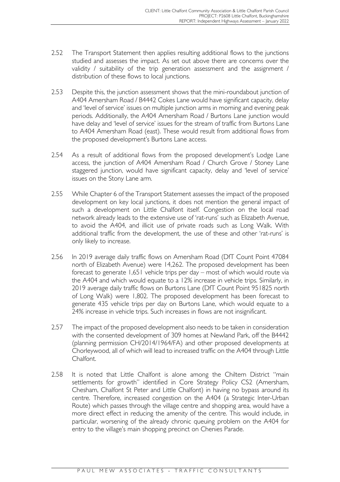- 2.52 The Transport Statement then applies resulting additional flows to the junctions studied and assesses the impact. As set out above there are concerns over the validity / suitability of the trip generation assessment and the assignment / distribution of these flows to local junctions.
- 2.53 Despite this, the junction assessment shows that the mini-roundabout junction of A404 Amersham Road / B4442 Cokes Lane would have significant capacity, delay and 'level of service' issues on multiple junction arms in morning and evening peak periods. Additionally, the A404 Amersham Road / Burtons Lane junction would have delay and 'level of service' issues for the stream of traffic from Burtons Lane to A404 Amersham Road (east). These would result from additional flows from the proposed development's Burtons Lane access.
- 2.54 As a result of additional flows from the proposed development's Lodge Lane access, the junction of A404 Amersham Road / Church Grove / Stoney Lane staggered junction, would have significant capacity, delay and 'level of service' issues on the Stony Lane arm.
- 2.55 While Chapter 6 of the Transport Statement assesses the impact of the proposed development on key local junctions, it does not mention the general impact of such a development on Little Chalfont itself. Congestion on the local road network already leads to the extensive use of 'rat-runs' such as Elizabeth Avenue, to avoid the A404, and illicit use of private roads such as Long Walk. With additional traffic from the development, the use of these and other 'rat-runs' is only likely to increase.
- 2.56 In 2019 average daily traffic flows on Amersham Road (DfT Count Point 47084 north of Elizabeth Avenue) were 14,262. The proposed development has been forecast to generate 1,651 vehicle trips per day – most of which would route via the A404 and which would equate to a 12% increase in vehicle trips. Similarly, in 2019 average daily traffic flows on Burtons Lane (DfT Count Point 951825 north of Long Walk) were 1,802. The proposed development has been forecast to generate 435 vehicle trips per day on Burtons Lane, which would equate to a 24% increase in vehicle trips. Such increases in flows are not insignificant.
- 2.57 The impact of the proposed development also needs to be taken in consideration with the consented development of 309 homes at Newland Park, off the B4442 (planning permission CH/2014/1964/FA) and other proposed developments at Chorleywood, all of which will lead to increased traffic on the A404 through Little Chalfont.
- 2.58 It is noted that Little Chalfont is alone among the Chiltern District "main settlements for growth" identified in Core Strategy Policy CS2 (Amersham, Chesham, Chalfont St Peter and Little Chalfont) in having no bypass around its centre. Therefore, increased congestion on the A404 (a Strategic lnter-Urban Route) which passes through the village centre and shopping area, would have a more direct effect in reducing the amenity of the centre. This would include, in particular, worsening of the already chronic queuing problem on the A404 for entry to the village's main shopping precinct on Chenies Parade.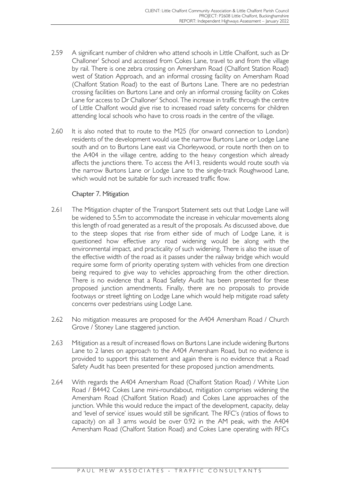- 2.59 A significant number of children who attend schools in Little Chalfont, such as Dr Challoner' School and accessed from Cokes Lane, travel to and from the village by rail. There is one zebra crossing on Amersham Road (Chalfont Station Road) west of Station Approach, and an informal crossing facility on Amersham Road (Chalfont Station Road) to the east of Burtons Lane. There are no pedestrian crossing facilities on Burtons Lane and only an informal crossing facility on Cokes Lane for access to Dr Challoner' School. The increase in traffic through the centre of Little Chalfont would give rise to increased road safety concerns for children attending local schools who have to cross roads in the centre of the village.
- 2.60 It is also noted that to route to the M25 (for onward connection to London) residents of the development would use the narrow Burtons Lane or Lodge Lane south and on to Burtons Lane east via Chorleywood, or route north then on to the A404 in the village centre, adding to the heavy congestion which already affects the junctions there. To access the A413, residents would route south via the narrow Burtons Lane or Lodge Lane to the single-track Roughwood Lane, which would not be suitable for such increased traffic flow.

#### Chapter 7. Mitigation

- 2.61 The Mitigation chapter of the Transport Statement sets out that Lodge Lane will be widened to 5.5m to accommodate the increase in vehicular movements along this length of road generated as a result of the proposals. As discussed above, due to the steep slopes that rise from either side of much of Lodge Lane, it is questioned how effective any road widening would be along with the environmental impact, and practicality of such widening. There is also the issue of the effective width of the road as it passes under the railway bridge which would require some form of priority operating system with vehicles from one direction being required to give way to vehicles approaching from the other direction. There is no evidence that a Road Safety Audit has been presented for these proposed junction amendments. Finally, there are no proposals to provide footways or street lighting on Lodge Lane which would help mitigate road safety concerns over pedestrians using Lodge Lane.
- 2.62 No mitigation measures are proposed for the A404 Amersham Road / Church Grove / Stoney Lane staggered junction.
- 2.63 Mitigation as a result of increased flows on Burtons Lane include widening Burtons Lane to 2 lanes on approach to the A404 Amersham Road, but no evidence is provided to support this statement and again there is no evidence that a Road Safety Audit has been presented for these proposed junction amendments.
- 2.64 With regards the A404 Amersham Road (Chalfont Station Road) / White Lion Road / B4442 Cokes Lane mini-roundabout, mitigation comprises widening the Amersham Road (Chalfont Station Road) and Cokes Lane approaches of the junction. While this would reduce the impact of the development, capacity, delay and 'level of service' issues would still be significant. The RFC's (ratios of flows to capacity) on all 3 arms would be over 0.92 in the AM peak, with the A404 Amersham Road (Chalfont Station Road) and Cokes Lane operating with RFCs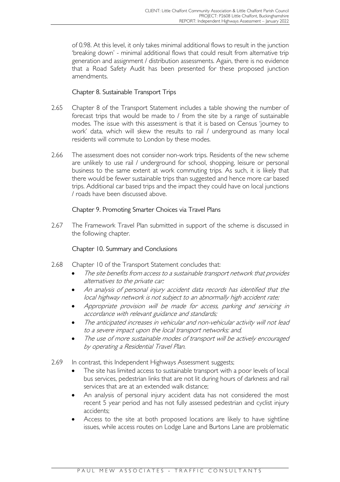of 0.98. At this level, it only takes minimal additional flows to result in the junction 'breaking down' - minimal additional flows that could result from alternative trip generation and assignment / distribution assessments. Again, there is no evidence that a Road Safety Audit has been presented for these proposed junction amendments.

# Chapter 8. Sustainable Transport Trips

- 2.65 Chapter 8 of the Transport Statement includes a table showing the number of forecast trips that would be made to / from the site by a range of sustainable modes. The issue with this assessment is that it is based on Census 'journey to work' data, which will skew the results to rail / underground as many local residents will commute to London by these modes.
- 2.66 The assessment does not consider non-work trips. Residents of the new scheme are unlikely to use rail / underground for school, shopping, leisure or personal business to the same extent at work commuting trips. As such, it is likely that there would be fewer sustainable trips than suggested and hence more car based trips. Additional car based trips and the impact they could have on local junctions / roads have been discussed above.

# Chapter 9. Promoting Smarter Choices via Travel Plans

2.67 The Framework Travel Plan submitted in support of the scheme is discussed in the following chapter.

# Chapter 10. Summary and Conclusions

- 2.68 Chapter 10 of the Transport Statement concludes that:
	- The site benefits from access to a sustainable transport network that provides alternatives to the private car;
	- An analysis of personal injury accident data records has identified that the local highway network is not subject to an abnormally high accident rate;
	- Appropriate provision will be made for access, parking and servicing in accordance with relevant guidance and standards;
	- The anticipated increases in vehicular and non-vehicular activity will not lead to a severe impact upon the local transport networks; and,
	- The use of more sustainable modes of transport will be actively encouraged by operating a Residential Travel Plan.
- 2.69 In contrast, this Independent Highways Assessment suggests;
	- The site has limited access to sustainable transport with a poor levels of local bus services, pedestrian links that are not lit during hours of darkness and rail services that are at an extended walk distance;
	- An analysis of personal injury accident data has not considered the most recent 5 year period and has not fully assessed pedestrian and cyclist injury accidents;
	- Access to the site at both proposed locations are likely to have sightline issues, while access routes on Lodge Lane and Burtons Lane are problematic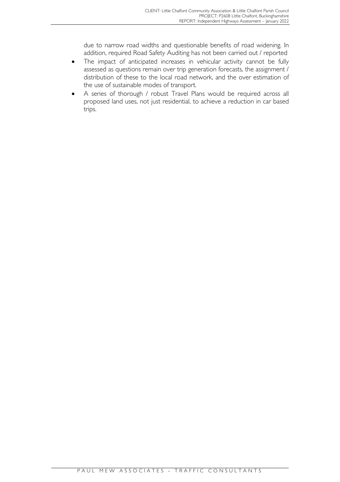due to narrow road widths and questionable benefits of road widening. In addition, required Road Safety Auditing has not been carried out / reported

- The impact of anticipated increases in vehicular activity cannot be fully assessed as questions remain over trip generation forecasts, the assignment / distribution of these to the local road network, and the over estimation of the use of sustainable modes of transport.
- A series of thorough / robust Travel Plans would be required across all proposed land uses, not just residential, to achieve a reduction in car based trips.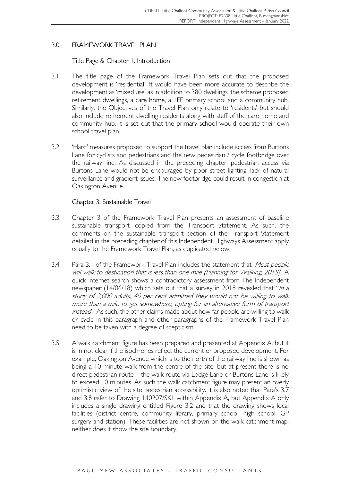# 3.0 FRAMEWORK TRAVEL PLAN

# Title Page & Chapter 1. Introduction

- 3.1 The title page of the Framework Travel Plan sets out that the proposed development is 'residential'. It would have been more accurate to describe the development as 'mixed use' as in addition to 380 dwellings, the scheme proposed retirement dwellings, a care home, a 1FE primary school and a community hub. Similarly, the Objectives of the Travel Plan only relate to 'residents' but should also include retirement dwelling residents along with staff of the care home and community hub. It is set out that the primary school would operate their own school travel plan.
- 3.2 'Hard' measures proposed to support the travel plan include access from Burtons Lane for cyclists and pedestrians and the new pedestrian / cycle footbridge over the railway line. As discussed in the preceding chapter, pedestrian access via Burtons Lane would not be encouraged by poor street lighting, lack of natural surveillance and gradient issues. The new footbridge could result in congestion at Oakington Avenue.

# Chapter 3. Sustainable Travel

- 3.3 Chapter 3 of the Framework Travel Plan presents an assessment of baseline sustainable transport, copied from the Transport Statement. As such, the comments on the sustainable transport section of the Transport Statement detailed in the preceding chapter of this Independent Highways Assessment apply equally to the Framework Travel Plan, as duplicated below.
- 3.4 Para 3.1 of the Framework Travel Plan includes the statement that 'Most people will walk to destination that is less than one mile (Planning for Walking, 2015)'. A quick internet search shows a contradictory assessment from The Independent newspaper (14/06/18) which sets out that a survey in 2018 revealed that " $ln a$ study of 2,000 adults, 40 per cent admitted they would not be willing to walk more than a mile to get somewhere, opting for an alternative form of transport instead". As such, the other claims made about how far people are willing to walk or cycle in this paragraph and other paragraphs of the Framework Travel Plan need to be taken with a degree of scepticism.
- 3.5 A walk catchment figure has been prepared and presented at Appendix A, but it is in not clear if the isochrones reflect the current or proposed development. For example, Oakington Avenue which is to the north of the railway line is shown as being a 10 minute walk from the centre of the site, but at present there is no direct pedestrian route – the walk route via Lodge Lane or Burtons Lane is likely to exceed 10 minutes. As such the walk catchment figure may present an overly optimistic view of the site pedestrian accessibility. It is also noted that Para's 3.7 and 3.8 refer to Drawing 140207/SK1 within Appendix A, but Appendix A only includes a single drawing entitled Figure 3.2 and that the drawing shows local facilities (district centre, community library, primary school, high school, GP surgery and station). These facilities are not shown on the walk catchment map, neither does it show the site boundary.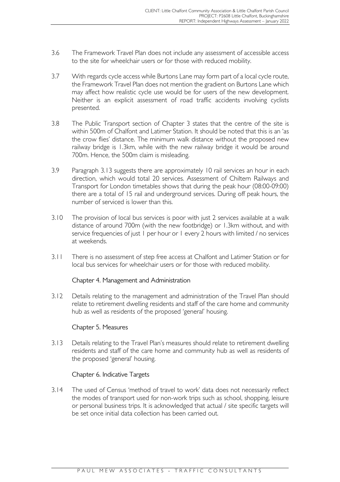- 3.6 The Framework Travel Plan does not include any assessment of accessible access to the site for wheelchair users or for those with reduced mobility.
- 3.7 With regards cycle access while Burtons Lane may form part of a local cycle route, the Framework Travel Plan does not mention the gradient on Burtons Lane which may affect how realistic cycle use would be for users of the new development. Neither is an explicit assessment of road traffic accidents involving cyclists presented.
- 3.8 The Public Transport section of Chapter 3 states that the centre of the site is within 500m of Chalfont and Latimer Station. It should be noted that this is an 'as the crow flies' distance. The minimum walk distance without the proposed new railway bridge is 1.3km, while with the new railway bridge it would be around 700m. Hence, the 500m claim is misleading.
- 3.9 Paragraph 3.13 suggests there are approximately 10 rail services an hour in each direction, which would total 20 services. Assessment of Chiltern Railways and Transport for London timetables shows that during the peak hour (08:00-09:00) there are a total of 15 rail and underground services. During off peak hours, the number of serviced is lower than this.
- 3.10 The provision of local bus services is poor with just 2 services available at a walk distance of around 700m (with the new footbridge) or 1.3km without, and with service frequencies of just 1 per hour or 1 every 2 hours with limited / no services at weekends.
- 3.11 There is no assessment of step free access at Chalfont and Latimer Station or for local bus services for wheelchair users or for those with reduced mobility.

#### Chapter 4. Management and Administration

3.12 Details relating to the management and administration of the Travel Plan should relate to retirement dwelling residents and staff of the care home and community hub as well as residents of the proposed 'general' housing.

#### Chapter 5. Measures

3.13 Details relating to the Travel Plan's measures should relate to retirement dwelling residents and staff of the care home and community hub as well as residents of the proposed 'general' housing.

# Chapter 6. Indicative Targets

3.14 The used of Census 'method of travel to work' data does not necessarily reflect the modes of transport used for non-work trips such as school, shopping, leisure or personal business trips. It is acknowledged that actual / site specific targets will be set once initial data collection has been carried out.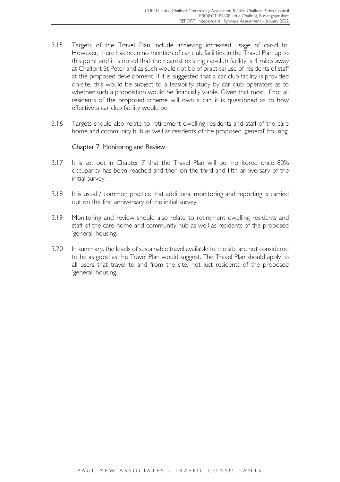- 3.15 Targets of the Travel Plan include achieving increased usage of car-clubs. However, there has been no mention of car club facilities in the Travel Plan up to this point and it is noted that the nearest existing car-club facility is 4 miles away at Chalfont St Peter and as such would not be of practical use of residents of staff at the proposed development. If it is suggested that a car club facility is provided on-site, this would be subject to a feasibility study by car club operators as to whether such a proposition would be financially viable. Given that most, if not all residents of the proposed scheme will own a car, it is questioned as to how effective a car club facility would be.
- 3.16 Targets should also relate to retirement dwelling residents and staff of the care home and community hub as well as residents of the proposed 'general' housing.

#### Chapter 7. Monitoring and Review

- 3.17 It is set out in Chapter 7 that the Travel Plan will be monitored once 80% occupancy has been reached and then on the third and fifth anniversary of the initial survey.
- 3.18 It is usual / common practice that additional monitoring and reporting is carried out on the first anniversary of the initial survey.
- 3.19 Monitoring and review should also relate to retirement dwelling residents and staff of the care home and community hub as well as residents of the proposed 'general' housing.
- 3.20 In summary, the levels of sustainable travel available to the site are not considered to be as good as the Travel Plan would suggest. The Travel Plan should apply to all users that travel to and from the site, not just residents of the proposed 'general' housing.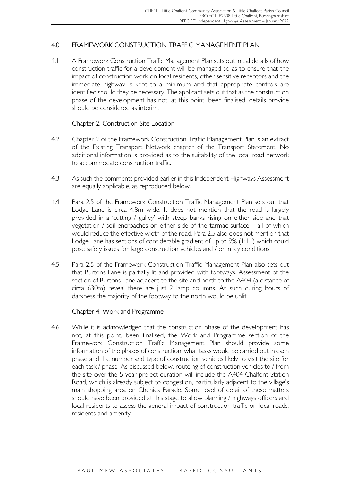# 4.0 FRAMEWORK CONSTRUCTION TRAFFIC MANAGEMENT PLAN

4.1 A Framework Construction Traffic Management Plan sets out initial details of how construction traffic for a development will be managed so as to ensure that the impact of construction work on local residents, other sensitive receptors and the immediate highway is kept to a minimum and that appropriate controls are identified should they be necessary. The applicant sets out that as the construction phase of the development has not, at this point, been finalised, details provide should be considered as interim.

# Chapter 2. Construction Site Location

- 4.2 Chapter 2 of the Framework Construction Traffic Management Plan is an extract of the Existing Transport Network chapter of the Transport Statement. No additional information is provided as to the suitability of the local road network to accommodate construction traffic.
- 4.3 As such the comments provided earlier in this Independent Highways Assessment are equally applicable, as reproduced below.
- 4.4 Para 2.5 of the Framework Construction Traffic Management Plan sets out that Lodge Lane is circa 4.8m wide. It does not mention that the road is largely provided in a 'cutting / gulley' with steep banks rising on either side and that vegetation / soil encroaches on either side of the tarmac surface – all of which would reduce the effective width of the road. Para 2.5 also does not mention that Lodge Lane has sections of considerable gradient of up to 9% (1:11) which could pose safety issues for large construction vehicles and / or in icy conditions.
- 4.5 Para 2.5 of the Framework Construction Traffic Management Plan also sets out that Burtons Lane is partially lit and provided with footways. Assessment of the section of Burtons Lane adjacent to the site and north to the A404 (a distance of circa 630m) reveal there are just 2 lamp columns. As such during hours of darkness the majority of the footway to the north would be unlit.

# Chapter 4. Work and Programme

4.6 While it is acknowledged that the construction phase of the development has not, at this point, been finalised, the Work and Programme section of the Framework Construction Traffic Management Plan should provide some information of the phases of construction, what tasks would be carried out in each phase and the number and type of construction vehicles likely to visit the site for each task / phase. As discussed below, routeing of construction vehicles to / from the site over the 5 year project duration will include the A404 Chalfont Station Road, which is already subject to congestion, particularly adjacent to the village's main shopping area on Chenies Parade. Some level of detail of these matters should have been provided at this stage to allow planning / highways officers and local residents to assess the general impact of construction traffic on local roads, residents and amenity.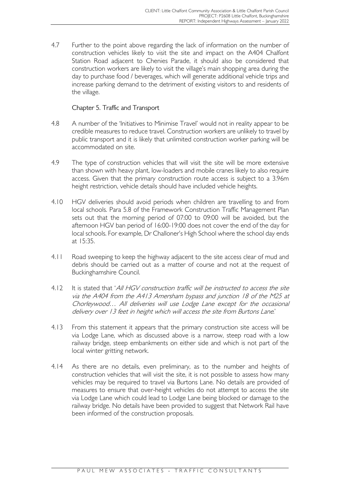4.7 Further to the point above regarding the lack of information on the number of construction vehicles likely to visit the site and impact on the A404 Chalfont Station Road adjacent to Chenies Parade, it should also be considered that construction workers are likely to visit the village's main shopping area during the day to purchase food / beverages, which will generate additional vehicle trips and increase parking demand to the detriment of existing visitors to and residents of the village.

#### Chapter 5. Traffic and Transport

- 4.8 A number of the 'Initiatives to Minimise Travel' would not in reality appear to be credible measures to reduce travel. Construction workers are unlikely to travel by public transport and it is likely that unlimited construction worker parking will be accommodated on site.
- 4.9 The type of construction vehicles that will visit the site will be more extensive than shown with heavy plant, low-loaders and mobile cranes likely to also require access. Given that the primary construction route access is subject to a 3.96m height restriction, vehicle details should have included vehicle heights.
- 4.10 HGV deliveries should avoid periods when children are travelling to and from local schools. Para 5.8 of the Framework Construction Traffic Management Plan sets out that the morning period of 07:00 to 09:00 will be avoided, but the afternoon HGV ban period of 16:00-19:00 does not cover the end of the day for local schools. For example, Dr Challoner's High School where the school day ends at 15:35.
- 4.11 Road sweeping to keep the highway adjacent to the site access clear of mud and debris should be carried out as a matter of course and not at the request of Buckinghamshire Council.
- 4.12 It is stated that 'All HGV construction traffic will be instructed to access the site via the A404 from the A413 Amersham bypass and junction 18 of the M25 at Chorleywood… All deliveries will use Lodge Lane except for the occasional delivery over 13 feet in height which will access the site from Burtons Lane.'
- 4.13 From this statement it appears that the primary construction site access will be via Lodge Lane, which as discussed above is a narrow, steep road with a low railway bridge, steep embankments on either side and which is not part of the local winter gritting network.
- 4.14 As there are no details, even preliminary, as to the number and heights of construction vehicles that will visit the site, it is not possible to assess how many vehicles may be required to travel via Burtons Lane. No details are provided of measures to ensure that over-height vehicles do not attempt to access the site via Lodge Lane which could lead to Lodge Lane being blocked or damage to the railway bridge. No details have been provided to suggest that Network Rail have been informed of the construction proposals.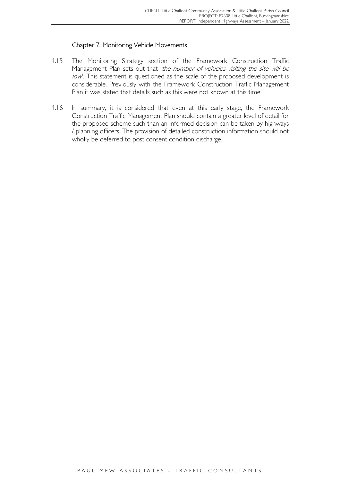#### Chapter 7. Monitoring Vehicle Movements

- 4.15 The Monitoring Strategy section of the Framework Construction Traffic Management Plan sets out that 'the number of vehicles visiting the site will be low'. This statement is questioned as the scale of the proposed development is considerable. Previously with the Framework Construction Traffic Management Plan it was stated that details such as this were not known at this time.
- 4.16 In summary, it is considered that even at this early stage, the Framework Construction Traffic Management Plan should contain a greater level of detail for the proposed scheme such than an informed decision can be taken by highways / planning officers. The provision of detailed construction information should not wholly be deferred to post consent condition discharge.